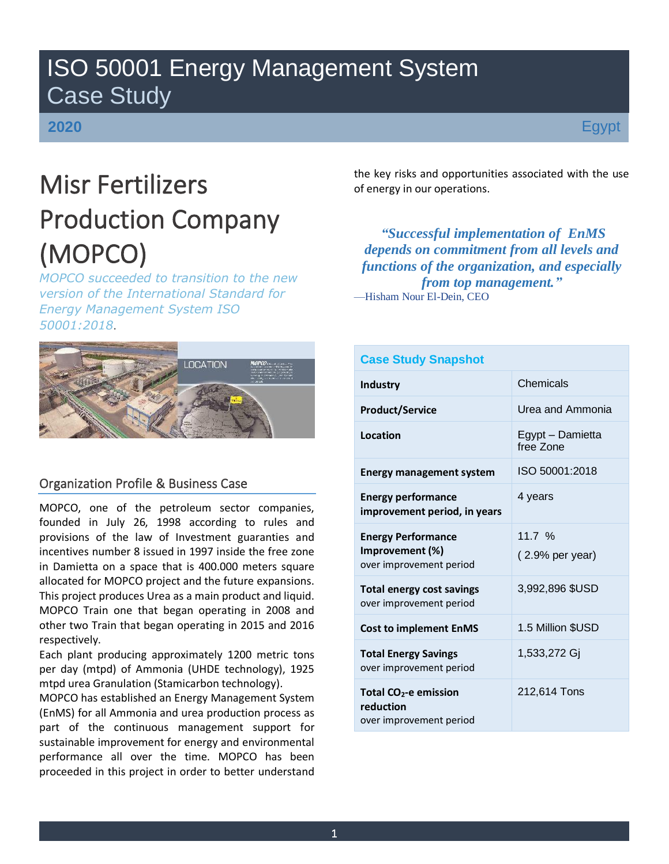## ISO 50001 Energy Management System Case Study

### **2020**

## Misr Fertilizers Production Company (MOPCO)

*MOPCO succeeded to transition to the new version of the International Standard for Energy Management System ISO 50001:2018*.

# **LOCATION**

#### Organization Profile & Business Case

MOPCO, one of the petroleum sector companies, founded in July 26, 1998 according to rules and provisions of the law of Investment guaranties and incentives number 8 issued in 1997 inside the free zone in Damietta on a space that is 400.000 meters square allocated for MOPCO project and the future expansions. This project produces Urea as a main product and liquid. MOPCO Train one that began operating in 2008 and other two Train that began operating in 2015 and 2016 respectively.

Each plant producing approximately 1200 metric tons per day (mtpd) of Ammonia (UHDE technology), 1925 mtpd urea Granulation (Stamicarbon technology).

MOPCO has established an Energy Management System (EnMS) for all Ammonia and urea production process as part of the continuous management support for sustainable improvement for energy and environmental performance all over the time. MOPCO has been proceeded in this project in order to better understand

the key risks and opportunities associated with the use of energy in our operations.

*"Successful implementation of EnMS depends on commitment from all levels and functions of the organization, and especially from top management."* —Hisham Nour El-Dein, CEO

| <b>Case Study Snapshot</b>                                                |                               |
|---------------------------------------------------------------------------|-------------------------------|
| <b>Industry</b>                                                           | Chemicals                     |
| <b>Product/Service</b>                                                    | Urea and Ammonia              |
| Location                                                                  | Egypt - Damietta<br>free Zone |
| <b>Energy management system</b>                                           | ISO 50001:2018                |
| <b>Energy performance</b><br>improvement period, in years                 | 4 years                       |
| <b>Energy Performance</b><br>Improvement (%)<br>over improvement period   | 11.7 %<br>$(2.9%$ per year)   |
| <b>Total energy cost savings</b><br>over improvement period               | 3,992,896 \$USD               |
| <b>Cost to implement EnMS</b>                                             | 1.5 Million \$USD             |
| <b>Total Energy Savings</b><br>over improvement period                    | 1,533,272 Gj                  |
| Total CO <sub>2</sub> -e emission<br>reduction<br>over improvement period | 212,614 Tons                  |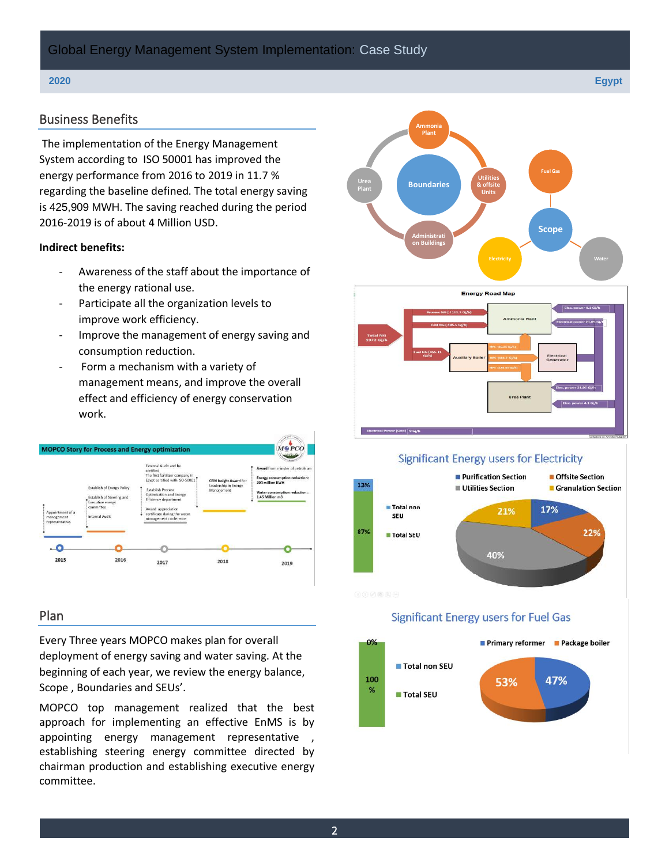#### Business Benefits

The implementation of the Energy Management System according to ISO 50001 has improved the energy performance from 2016 to 2019 in 11.7 % regarding the baseline defined. The total energy saving is 425,909 MWH. The saving reached during the period 2016-2019 is of about 4 Million USD.

#### **Indirect benefits:**

- Awareness of the staff about the importance of the energy rational use.
- Participate all the organization levels to improve work efficiency.
- Improve the management of energy saving and consumption reduction.
- Form a mechanism with a variety of management means, and improve the overall effect and efficiency of energy conservation work.



#### Plan

Every Three years MOPCO makes plan for overall deployment of energy saving and water saving. At the beginning of each year, we review the energy balance, Scope , Boundaries and SEUs'.

MOPCO top management realized that the best approach for implementing an effective EnMS is by appointing energy management representative, establishing steering energy committee directed by chairman production and establishing executive energy committee.





#### **Significant Energy users for Electricity**



#### **Significant Energy users for Fuel Gas**



**2020 Egypt**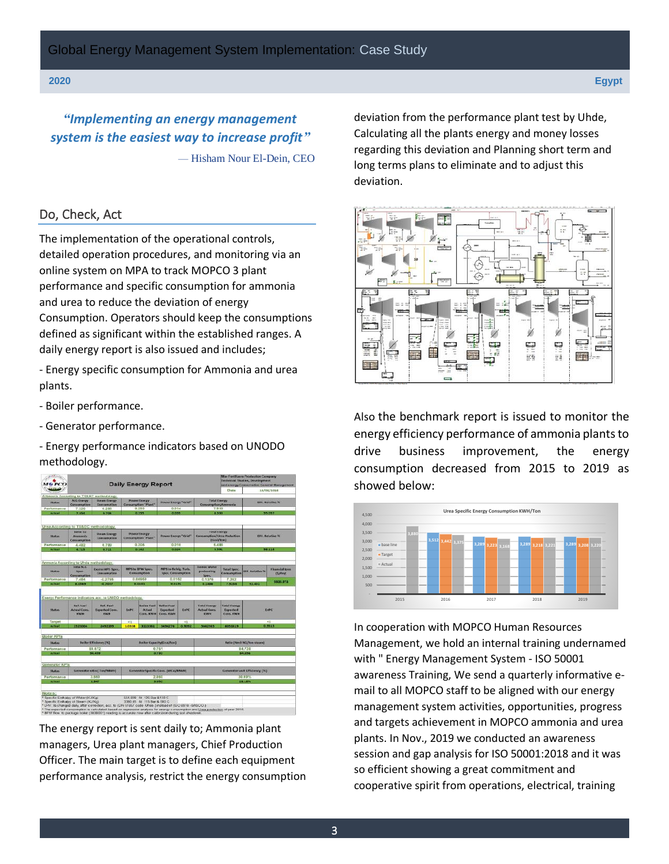*"Implementing an energy management system is the easiest way to increase profit"* — Hisham Nour El-Dein, CEO

#### Do, Check, Act

The implementation of the operational controls, detailed operation procedures, and monitoring via an online system on MPA to track MOPCO 3 plant performance and specific consumption for ammonia and urea to reduce the deviation of energy Consumption. Operators should keep the consumptions defined as significant within the established ranges. A daily energy report is also issued and includes;

- Energy specific consumption for Ammonia and urea plants.

- Boiler performance.

- Generator performance.

- Energy performance indicators based on UNODO methodology.



The energy report is sent daily to; Ammonia plant managers, Urea plant managers, Chief Production Officer. The main target is to define each equipment performance analysis, restrict the energy consumption deviation from the performance plant test by Uhde, Calculating all the plants energy and money losses regarding this deviation and Planning short term and long terms plans to eliminate and to adjust this deviation.



Also the benchmark report is issued to monitor the energy efficiency performance of ammonia plants to drive business improvement, the energy consumption decreased from 2015 to 2019 as showed below:



In cooperation with MOPCO Human Resources Management, we hold an internal training undernamed with " Energy Management System - ISO 50001 awareness Training, We send a quarterly informative email to all MOPCO staff to be aligned with our energy management system activities, opportunities, progress and targets achievement in MOPCO ammonia and urea plants. In Nov., 2019 we conducted an awareness session and gap analysis for ISO 50001:2018 and it was so efficient showing a great commitment and cooperative spirit from operations, electrical, training